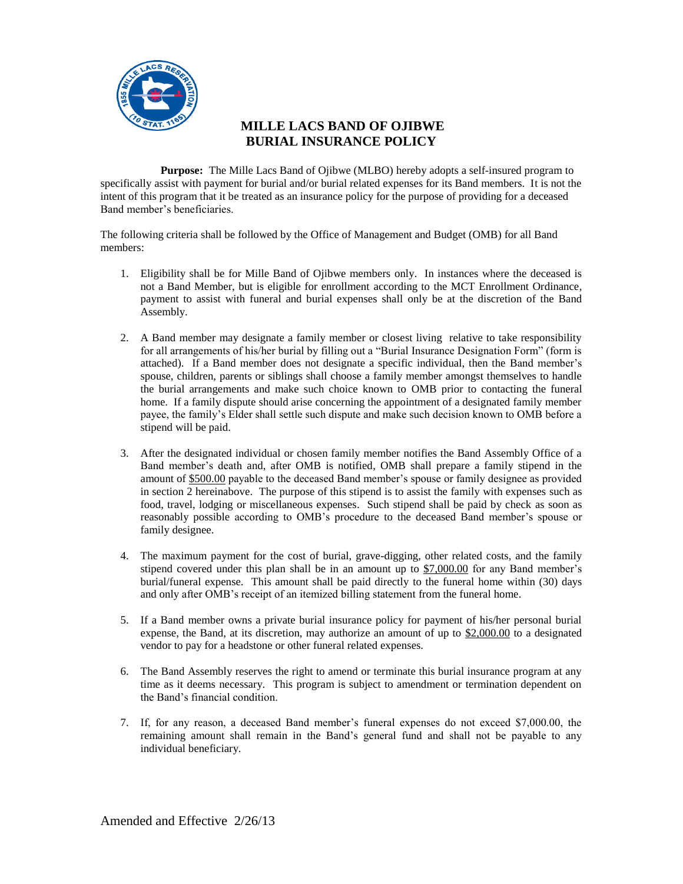

## **MILLE LACS BAND OF OJIBWE BURIAL INSURANCE POLICY**

**Purpose:** The Mille Lacs Band of Ojibwe (MLBO) hereby adopts a self-insured program to specifically assist with payment for burial and/or burial related expenses for its Band members. It is not the intent of this program that it be treated as an insurance policy for the purpose of providing for a deceased Band member's beneficiaries.

The following criteria shall be followed by the Office of Management and Budget (OMB) for all Band members:

- 1. Eligibility shall be for Mille Band of Ojibwe members only. In instances where the deceased is not a Band Member, but is eligible for enrollment according to the MCT Enrollment Ordinance, payment to assist with funeral and burial expenses shall only be at the discretion of the Band Assembly.
- 2. A Band member may designate a family member or closest living relative to take responsibility for all arrangements of his/her burial by filling out a "Burial Insurance Designation Form" (form is attached). If a Band member does not designate a specific individual, then the Band member's spouse, children, parents or siblings shall choose a family member amongst themselves to handle the burial arrangements and make such choice known to OMB prior to contacting the funeral home. If a family dispute should arise concerning the appointment of a designated family member payee, the family's Elder shall settle such dispute and make such decision known to OMB before a stipend will be paid.
- 3. After the designated individual or chosen family member notifies the Band Assembly Office of a Band member's death and, after OMB is notified, OMB shall prepare a family stipend in the amount of \$500.00 payable to the deceased Band member's spouse or family designee as provided in section 2 hereinabove. The purpose of this stipend is to assist the family with expenses such as food, travel, lodging or miscellaneous expenses. Such stipend shall be paid by check as soon as reasonably possible according to OMB's procedure to the deceased Band member's spouse or family designee.
- 4. The maximum payment for the cost of burial, grave-digging, other related costs, and the family stipend covered under this plan shall be in an amount up to \$7,000.00 for any Band member's burial/funeral expense. This amount shall be paid directly to the funeral home within (30) days and only after OMB's receipt of an itemized billing statement from the funeral home.
- 5. If a Band member owns a private burial insurance policy for payment of his/her personal burial expense, the Band, at its discretion, may authorize an amount of up to \$2,000.00 to a designated vendor to pay for a headstone or other funeral related expenses.
- 6. The Band Assembly reserves the right to amend or terminate this burial insurance program at any time as it deems necessary. This program is subject to amendment or termination dependent on the Band's financial condition.
- 7. If, for any reason, a deceased Band member's funeral expenses do not exceed \$7,000.00, the remaining amount shall remain in the Band's general fund and shall not be payable to any individual beneficiary.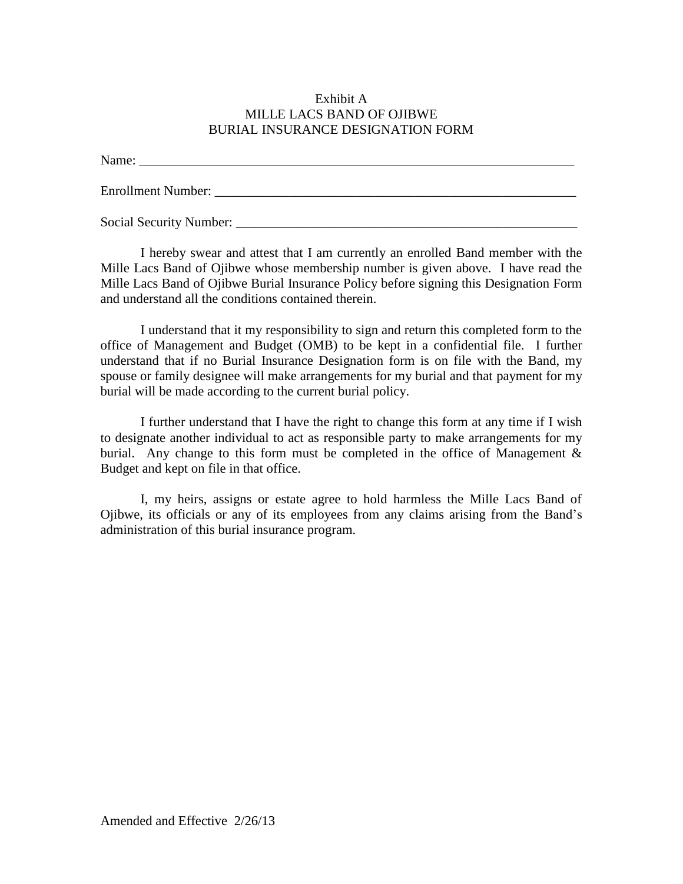## Exhibit A MILLE LACS BAND OF OJIBWE BURIAL INSURANCE DESIGNATION FORM

Name:

Enrollment Number: \_\_\_\_\_\_\_\_\_\_\_\_\_\_\_\_\_\_\_\_\_\_\_\_\_\_\_\_\_\_\_\_\_\_\_\_\_\_\_\_\_\_\_\_\_\_\_\_\_\_\_\_\_\_

Social Security Number:

I hereby swear and attest that I am currently an enrolled Band member with the Mille Lacs Band of Ojibwe whose membership number is given above. I have read the Mille Lacs Band of Ojibwe Burial Insurance Policy before signing this Designation Form and understand all the conditions contained therein.

I understand that it my responsibility to sign and return this completed form to the office of Management and Budget (OMB) to be kept in a confidential file. I further understand that if no Burial Insurance Designation form is on file with the Band, my spouse or family designee will make arrangements for my burial and that payment for my burial will be made according to the current burial policy.

I further understand that I have the right to change this form at any time if I wish to designate another individual to act as responsible party to make arrangements for my burial. Any change to this form must be completed in the office of Management  $\&$ Budget and kept on file in that office.

I, my heirs, assigns or estate agree to hold harmless the Mille Lacs Band of Ojibwe, its officials or any of its employees from any claims arising from the Band's administration of this burial insurance program.